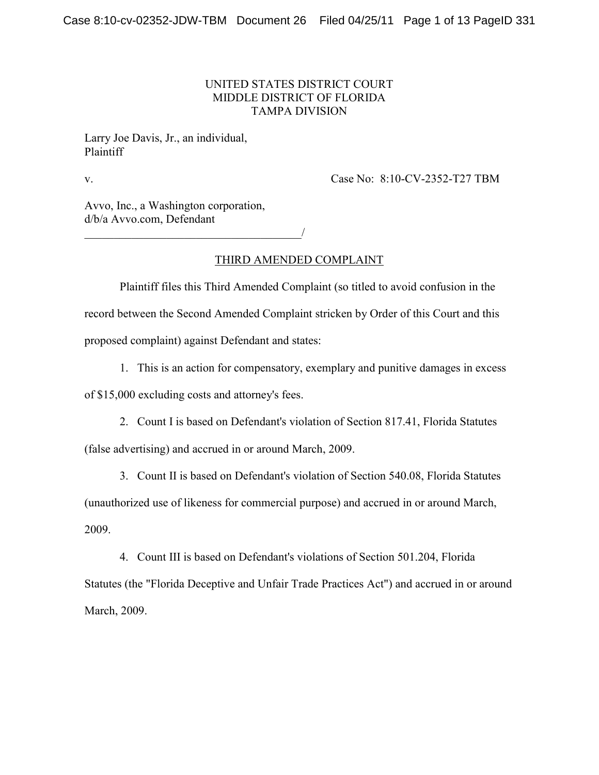### UNITED STATES DISTRICT COURT MIDDLE DISTRICT OF FLORIDA TAMPA DIVISION

Larry Joe Davis, Jr., an individual, Plaintiff

v. Case No: 8:10-CV-2352-T27 TBM

Avvo, Inc., a Washington corporation, d/b/a Avvo.com, Defendant

\_\_\_\_\_\_\_\_\_\_\_\_\_\_\_\_\_\_\_\_\_\_\_\_\_\_\_\_\_\_\_\_\_\_\_\_\_/

THIRD AMENDED COMPLAINT

Plaintiff files this Third Amended Complaint (so titled to avoid confusion in the record between the Second Amended Complaint stricken by Order of this Court and this proposed complaint) against Defendant and states:

1. This is an action for compensatory, exemplary and punitive damages in excess

of \$15,000 excluding costs and attorney's fees.

2. Count I is based on Defendant's violation of Section 817.41, Florida Statutes

(false advertising) and accrued in or around March, 2009.

3. Count II is based on Defendant's violation of Section 540.08, Florida Statutes

(unauthorized use of likeness for commercial purpose) and accrued in or around March,

2009.

4. Count III is based on Defendant's violations of Section 501.204, Florida Statutes (the "Florida Deceptive and Unfair Trade Practices Act") and accrued in or around March, 2009.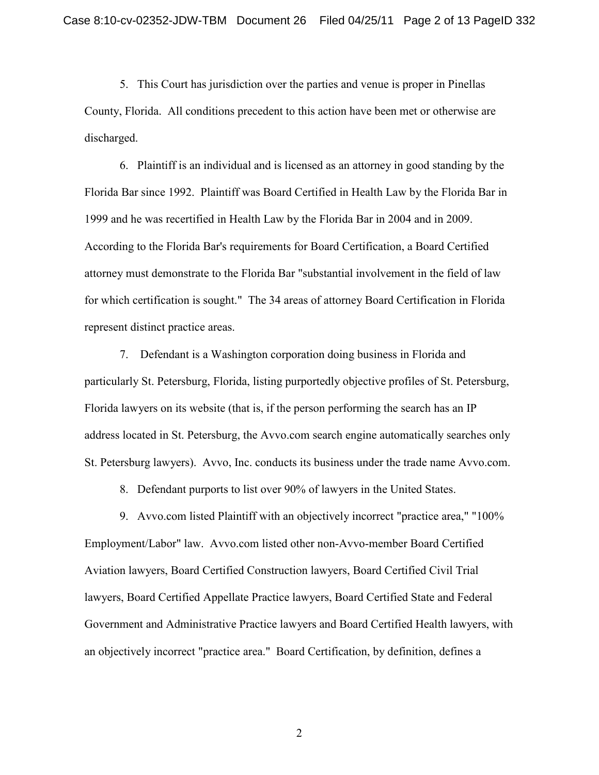5. This Court has jurisdiction over the parties and venue is proper in Pinellas County, Florida. All conditions precedent to this action have been met or otherwise are discharged.

6. Plaintiff is an individual and is licensed as an attorney in good standing by the Florida Bar since 1992. Plaintiff was Board Certified in Health Law by the Florida Bar in 1999 and he was recertified in Health Law by the Florida Bar in 2004 and in 2009. According to the Florida Bar's requirements for Board Certification, a Board Certified attorney must demonstrate to the Florida Bar "substantial involvement in the field of law for which certification is sought." The 34 areas of attorney Board Certification in Florida represent distinct practice areas.

7. Defendant is a Washington corporation doing business in Florida and particularly St. Petersburg, Florida, listing purportedly objective profiles of St. Petersburg, Florida lawyers on its website (that is, if the person performing the search has an IP address located in St. Petersburg, the Avvo.com search engine automatically searches only St. Petersburg lawyers). Avvo, Inc. conducts its business under the trade name Avvo.com.

8. Defendant purports to list over 90% of lawyers in the United States.

9. Avvo.com listed Plaintiff with an objectively incorrect "practice area," "100% Employment/Labor" law. Avvo.com listed other non-Avvo-member Board Certified Aviation lawyers, Board Certified Construction lawyers, Board Certified Civil Trial lawyers, Board Certified Appellate Practice lawyers, Board Certified State and Federal Government and Administrative Practice lawyers and Board Certified Health lawyers, with an objectively incorrect "practice area." Board Certification, by definition, defines a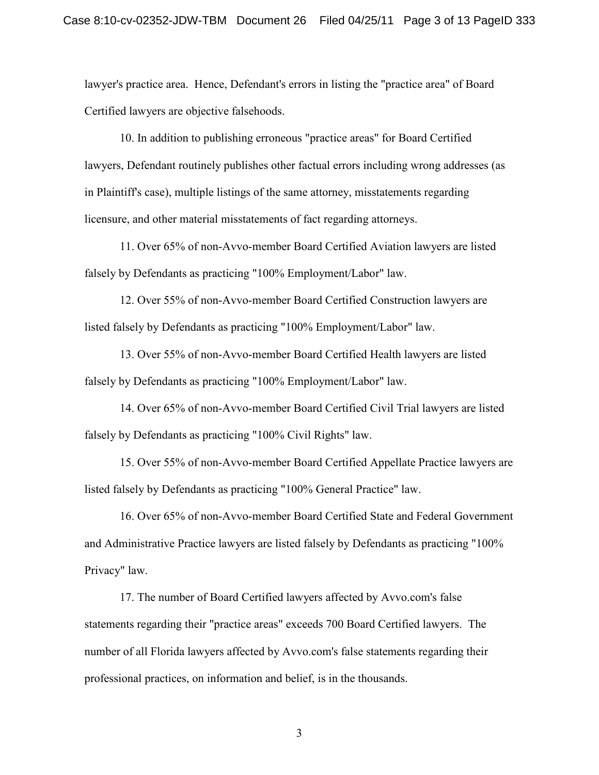lawyer's practice area. Hence, Defendant's errors in listing the "practice area" of Board Certified lawyers are objective falsehoods.

10. In addition to publishing erroneous "practice areas" for Board Certified lawyers, Defendant routinely publishes other factual errors including wrong addresses (as in Plaintiff's case), multiple listings of the same attorney, misstatements regarding licensure, and other material misstatements of fact regarding attorneys.

11. Over 65% of non-Avvo-member Board Certified Aviation lawyers are listed falsely by Defendants as practicing "100% Employment/Labor" law.

12. Over 55% of non-Avvo-member Board Certified Construction lawyers are listed falsely by Defendants as practicing "100% Employment/Labor" law.

13. Over 55% of non-Avvo-member Board Certified Health lawyers are listed falsely by Defendants as practicing "100% Employment/Labor" law.

14. Over 65% of non-Avvo-member Board Certified Civil Trial lawyers are listed falsely by Defendants as practicing "100% Civil Rights" law.

15. Over 55% of non-Avvo-member Board Certified Appellate Practice lawyers are listed falsely by Defendants as practicing "100% General Practice" law.

16. Over 65% of non-Avvo-member Board Certified State and Federal Government and Administrative Practice lawyers are listed falsely by Defendants as practicing "100% Privacy" law.

17. The number of Board Certified lawyers affected by Avvo.com's false statements regarding their "practice areas" exceeds 700 Board Certified lawyers. The number of all Florida lawyers affected by Avvo.com's false statements regarding their professional practices, on information and belief, is in the thousands.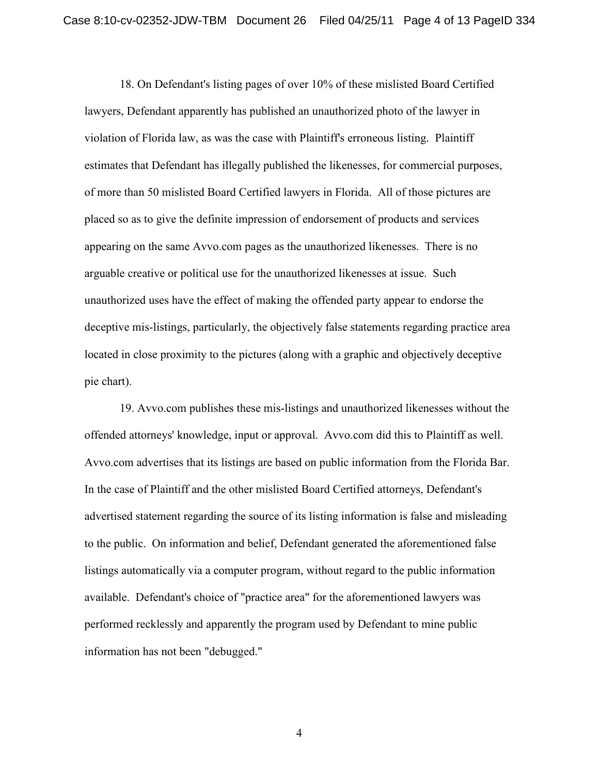18. On Defendant's listing pages of over 10% of these mislisted Board Certified lawyers, Defendant apparently has published an unauthorized photo of the lawyer in violation of Florida law, as was the case with Plaintiff's erroneous listing. Plaintiff estimates that Defendant has illegally published the likenesses, for commercial purposes, of more than 50 mislisted Board Certified lawyers in Florida. All of those pictures are placed so as to give the definite impression of endorsement of products and services appearing on the same Avvo.com pages as the unauthorized likenesses. There is no arguable creative or political use for the unauthorized likenesses at issue. Such unauthorized uses have the effect of making the offended party appear to endorse the deceptive mis-listings, particularly, the objectively false statements regarding practice area located in close proximity to the pictures (along with a graphic and objectively deceptive pie chart).

19. Avvo.com publishes these mis-listings and unauthorized likenesses without the offended attorneys' knowledge, input or approval. Avvo.com did this to Plaintiff as well. Avvo.com advertises that its listings are based on public information from the Florida Bar. In the case of Plaintiff and the other mislisted Board Certified attorneys, Defendant's advertised statement regarding the source of its listing information is false and misleading to the public. On information and belief, Defendant generated the aforementioned false listings automatically via a computer program, without regard to the public information available. Defendant's choice of "practice area" for the aforementioned lawyers was performed recklessly and apparently the program used by Defendant to mine public information has not been "debugged."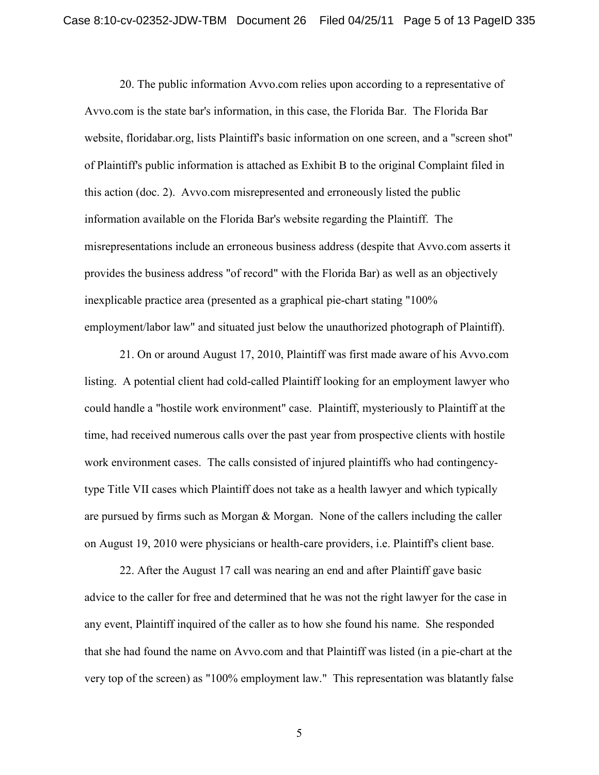20. The public information Avvo.com relies upon according to a representative of Avvo.com is the state bar's information, in this case, the Florida Bar. The Florida Bar website, floridabar.org, lists Plaintiff's basic information on one screen, and a "screen shot" of Plaintiff's public information is attached as Exhibit B to the original Complaint filed in this action (doc. 2). Avvo.com misrepresented and erroneously listed the public information available on the Florida Bar's website regarding the Plaintiff. The misrepresentations include an erroneous business address (despite that Avvo.com asserts it provides the business address "of record" with the Florida Bar) as well as an objectively inexplicable practice area (presented as a graphical pie-chart stating "100% employment/labor law" and situated just below the unauthorized photograph of Plaintiff).

21. On or around August 17, 2010, Plaintiff was first made aware of his Avvo.com listing. A potential client had cold-called Plaintiff looking for an employment lawyer who could handle a "hostile work environment" case. Plaintiff, mysteriously to Plaintiff at the time, had received numerous calls over the past year from prospective clients with hostile work environment cases. The calls consisted of injured plaintiffs who had contingencytype Title VII cases which Plaintiff does not take as a health lawyer and which typically are pursued by firms such as Morgan & Morgan. None of the callers including the caller on August 19, 2010 were physicians or health-care providers, i.e. Plaintiff's client base.

22. After the August 17 call was nearing an end and after Plaintiff gave basic advice to the caller for free and determined that he was not the right lawyer for the case in any event, Plaintiff inquired of the caller as to how she found his name. She responded that she had found the name on Avvo.com and that Plaintiff was listed (in a pie-chart at the very top of the screen) as "100% employment law." This representation was blatantly false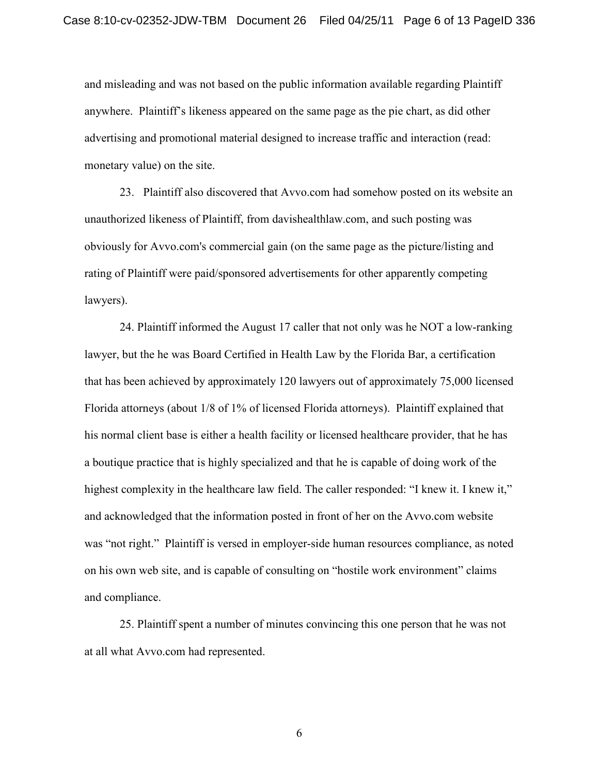and misleading and was not based on the public information available regarding Plaintiff anywhere. Plaintiff's likeness appeared on the same page as the pie chart, as did other advertising and promotional material designed to increase traffic and interaction (read: monetary value) on the site.

23. Plaintiff also discovered that Avvo.com had somehow posted on its website an unauthorized likeness of Plaintiff, from davishealthlaw.com, and such posting was obviously for Avvo.com's commercial gain (on the same page as the picture/listing and rating of Plaintiff were paid/sponsored advertisements for other apparently competing lawyers).

24. Plaintiff informed the August 17 caller that not only was he NOT a low-ranking lawyer, but the he was Board Certified in Health Law by the Florida Bar, a certification that has been achieved by approximately 120 lawyers out of approximately 75,000 licensed Florida attorneys (about 1/8 of 1% of licensed Florida attorneys). Plaintiff explained that his normal client base is either a health facility or licensed healthcare provider, that he has a boutique practice that is highly specialized and that he is capable of doing work of the highest complexity in the healthcare law field. The caller responded: "I knew it. I knew it," and acknowledged that the information posted in front of her on the Avvo.com website was "not right." Plaintiff is versed in employer-side human resources compliance, as noted on his own web site, and is capable of consulting on "hostile work environment" claims and compliance.

25. Plaintiff spent a number of minutes convincing this one person that he was not at all what Avvo.com had represented.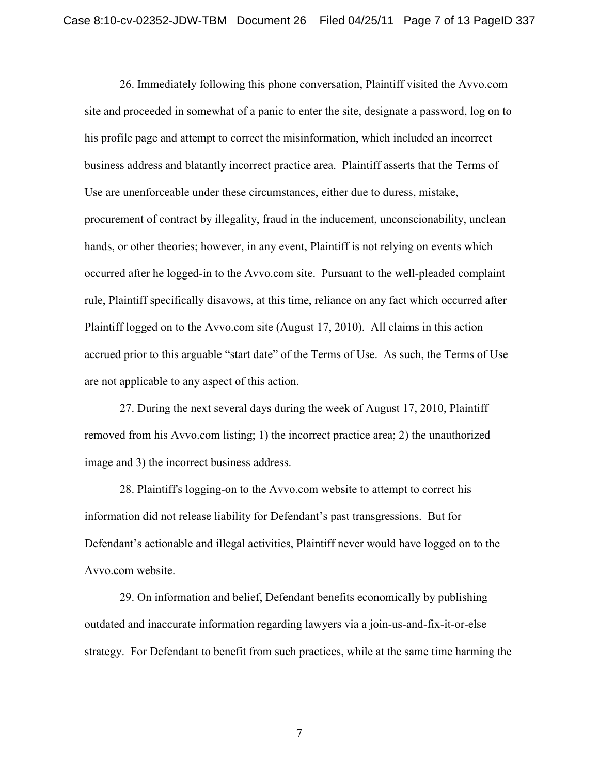26. Immediately following this phone conversation, Plaintiff visited the Avvo.com site and proceeded in somewhat of a panic to enter the site, designate a password, log on to his profile page and attempt to correct the misinformation, which included an incorrect business address and blatantly incorrect practice area. Plaintiff asserts that the Terms of Use are unenforceable under these circumstances, either due to duress, mistake, procurement of contract by illegality, fraud in the inducement, unconscionability, unclean hands, or other theories; however, in any event, Plaintiff is not relying on events which occurred after he logged-in to the Avvo.com site. Pursuant to the well-pleaded complaint rule, Plaintiff specifically disavows, at this time, reliance on any fact which occurred after Plaintiff logged on to the Avvo.com site (August 17, 2010). All claims in this action accrued prior to this arguable "start date" of the Terms of Use. As such, the Terms of Use are not applicable to any aspect of this action.

27. During the next several days during the week of August 17, 2010, Plaintiff removed from his Avvo.com listing; 1) the incorrect practice area; 2) the unauthorized image and 3) the incorrect business address.

28. Plaintiff's logging-on to the Avvo.com website to attempt to correct his information did not release liability for Defendant's past transgressions. But for Defendant's actionable and illegal activities, Plaintiff never would have logged on to the Avvo.com website.

29. On information and belief, Defendant benefits economically by publishing outdated and inaccurate information regarding lawyers via a join-us-and-fix-it-or-else strategy. For Defendant to benefit from such practices, while at the same time harming the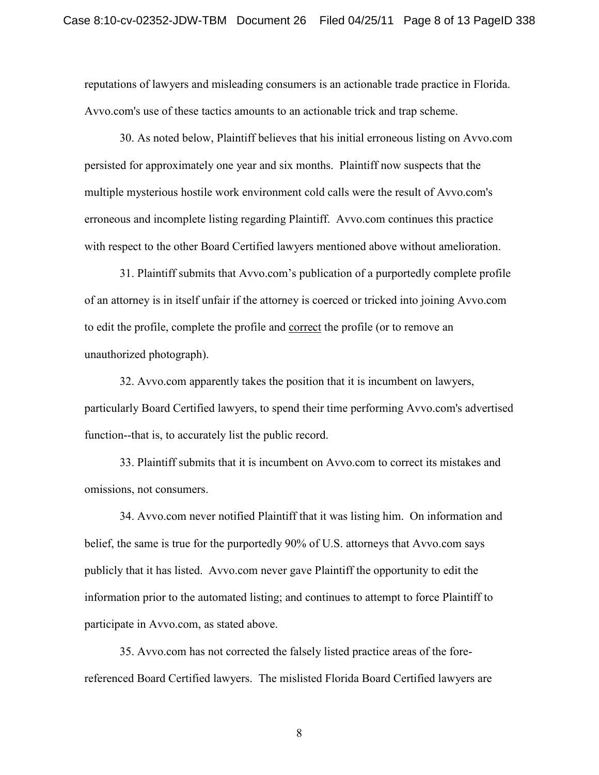reputations of lawyers and misleading consumers is an actionable trade practice in Florida. Avvo.com's use of these tactics amounts to an actionable trick and trap scheme.

30. As noted below, Plaintiff believes that his initial erroneous listing on Avvo.com persisted for approximately one year and six months. Plaintiff now suspects that the multiple mysterious hostile work environment cold calls were the result of Avvo.com's erroneous and incomplete listing regarding Plaintiff. Avvo.com continues this practice with respect to the other Board Certified lawyers mentioned above without amelioration.

31. Plaintiff submits that Avvo.com's publication of a purportedly complete profile of an attorney is in itself unfair if the attorney is coerced or tricked into joining Avvo.com to edit the profile, complete the profile and correct the profile (or to remove an unauthorized photograph).

32. Avvo.com apparently takes the position that it is incumbent on lawyers, particularly Board Certified lawyers, to spend their time performing Avvo.com's advertised function--that is, to accurately list the public record.

33. Plaintiff submits that it is incumbent on Avvo.com to correct its mistakes and omissions, not consumers.

34. Avvo.com never notified Plaintiff that it was listing him. On information and belief, the same is true for the purportedly 90% of U.S. attorneys that Avvo.com says publicly that it has listed. Avvo.com never gave Plaintiff the opportunity to edit the information prior to the automated listing; and continues to attempt to force Plaintiff to participate in Avvo.com, as stated above.

35. Avvo.com has not corrected the falsely listed practice areas of the forereferenced Board Certified lawyers. The mislisted Florida Board Certified lawyers are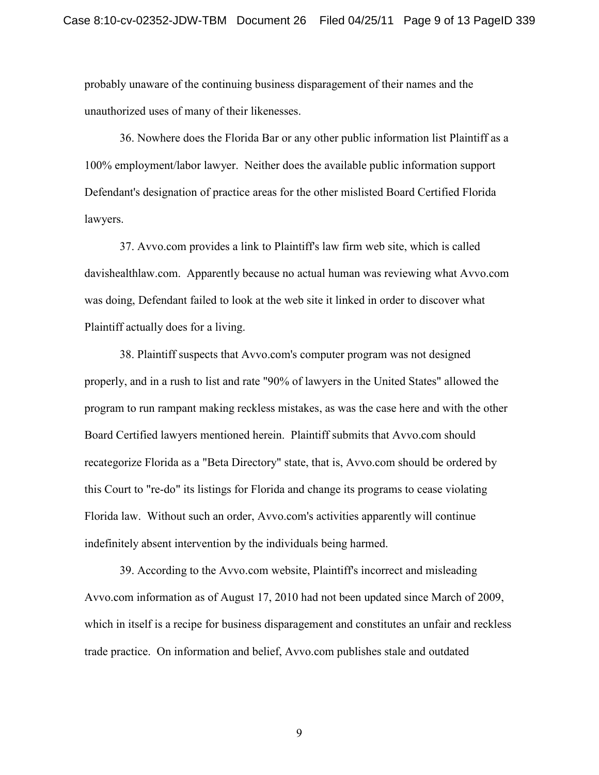probably unaware of the continuing business disparagement of their names and the unauthorized uses of many of their likenesses.

36. Nowhere does the Florida Bar or any other public information list Plaintiff as a 100% employment/labor lawyer. Neither does the available public information support Defendant's designation of practice areas for the other mislisted Board Certified Florida lawyers.

37. Avvo.com provides a link to Plaintiff's law firm web site, which is called davishealthlaw.com. Apparently because no actual human was reviewing what Avvo.com was doing, Defendant failed to look at the web site it linked in order to discover what Plaintiff actually does for a living.

38. Plaintiff suspects that Avvo.com's computer program was not designed properly, and in a rush to list and rate "90% of lawyers in the United States" allowed the program to run rampant making reckless mistakes, as was the case here and with the other Board Certified lawyers mentioned herein. Plaintiff submits that Avvo.com should recategorize Florida as a "Beta Directory" state, that is, Avvo.com should be ordered by this Court to "re-do" its listings for Florida and change its programs to cease violating Florida law. Without such an order, Avvo.com's activities apparently will continue indefinitely absent intervention by the individuals being harmed.

39. According to the Avvo.com website, Plaintiff's incorrect and misleading Avvo.com information as of August 17, 2010 had not been updated since March of 2009, which in itself is a recipe for business disparagement and constitutes an unfair and reckless trade practice. On information and belief, Avvo.com publishes stale and outdated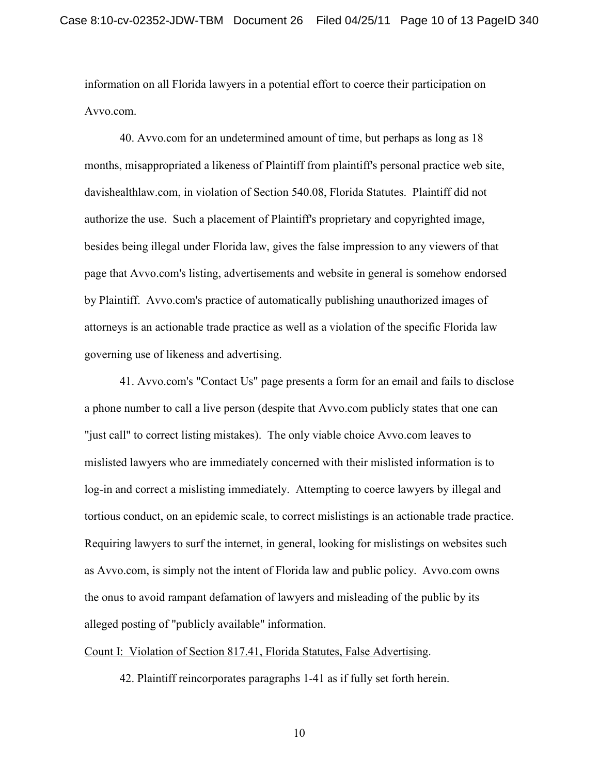information on all Florida lawyers in a potential effort to coerce their participation on Avvo.com.

40. Avvo.com for an undetermined amount of time, but perhaps as long as 18 months, misappropriated a likeness of Plaintiff from plaintiff's personal practice web site, davishealthlaw.com, in violation of Section 540.08, Florida Statutes. Plaintiff did not authorize the use. Such a placement of Plaintiff's proprietary and copyrighted image, besides being illegal under Florida law, gives the false impression to any viewers of that page that Avvo.com's listing, advertisements and website in general is somehow endorsed by Plaintiff. Avvo.com's practice of automatically publishing unauthorized images of attorneys is an actionable trade practice as well as a violation of the specific Florida law governing use of likeness and advertising.

41. Avvo.com's "Contact Us" page presents a form for an email and fails to disclose a phone number to call a live person (despite that Avvo.com publicly states that one can "just call" to correct listing mistakes). The only viable choice Avvo.com leaves to mislisted lawyers who are immediately concerned with their mislisted information is to log-in and correct a mislisting immediately. Attempting to coerce lawyers by illegal and tortious conduct, on an epidemic scale, to correct mislistings is an actionable trade practice. Requiring lawyers to surf the internet, in general, looking for mislistings on websites such as Avvo.com, is simply not the intent of Florida law and public policy. Avvo.com owns the onus to avoid rampant defamation of lawyers and misleading of the public by its alleged posting of "publicly available" information.

### Count I: Violation of Section 817.41, Florida Statutes, False Advertising.

42. Plaintiff reincorporates paragraphs 1-41 as if fully set forth herein.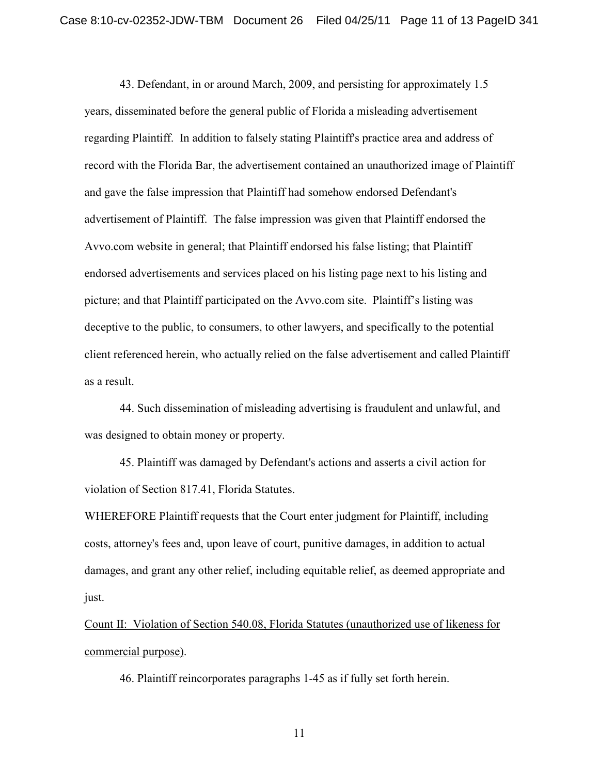43. Defendant, in or around March, 2009, and persisting for approximately 1.5 years, disseminated before the general public of Florida a misleading advertisement regarding Plaintiff. In addition to falsely stating Plaintiff's practice area and address of record with the Florida Bar, the advertisement contained an unauthorized image of Plaintiff and gave the false impression that Plaintiff had somehow endorsed Defendant's advertisement of Plaintiff. The false impression was given that Plaintiff endorsed the Avvo.com website in general; that Plaintiff endorsed his false listing; that Plaintiff endorsed advertisements and services placed on his listing page next to his listing and picture; and that Plaintiff participated on the Avvo.com site. Plaintiff's listing was deceptive to the public, to consumers, to other lawyers, and specifically to the potential client referenced herein, who actually relied on the false advertisement and called Plaintiff as a result.

44. Such dissemination of misleading advertising is fraudulent and unlawful, and was designed to obtain money or property.

45. Plaintiff was damaged by Defendant's actions and asserts a civil action for violation of Section 817.41, Florida Statutes.

WHEREFORE Plaintiff requests that the Court enter judgment for Plaintiff, including costs, attorney's fees and, upon leave of court, punitive damages, in addition to actual damages, and grant any other relief, including equitable relief, as deemed appropriate and just.

Count II: Violation of Section 540.08, Florida Statutes (unauthorized use of likeness for commercial purpose).

46. Plaintiff reincorporates paragraphs 1-45 as if fully set forth herein.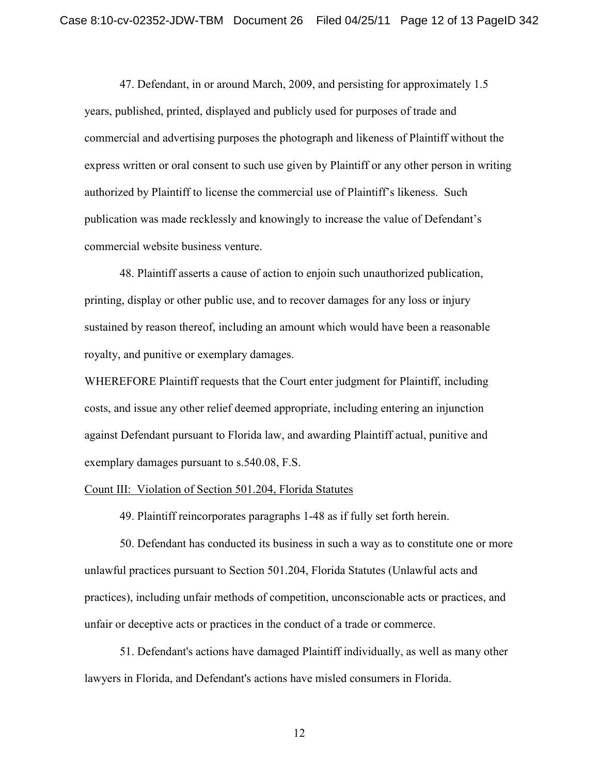47. Defendant, in or around March, 2009, and persisting for approximately 1.5 years, published, printed, displayed and publicly used for purposes of trade and commercial and advertising purposes the photograph and likeness of Plaintiff without the express written or oral consent to such use given by Plaintiff or any other person in writing authorized by Plaintiff to license the commercial use of Plaintiff's likeness. Such publication was made recklessly and knowingly to increase the value of Defendant's commercial website business venture.

48. Plaintiff asserts a cause of action to enjoin such unauthorized publication, printing, display or other public use, and to recover damages for any loss or injury sustained by reason thereof, including an amount which would have been a reasonable royalty, and punitive or exemplary damages.

WHEREFORE Plaintiff requests that the Court enter judgment for Plaintiff, including costs, and issue any other relief deemed appropriate, including entering an injunction against Defendant pursuant to Florida law, and awarding Plaintiff actual, punitive and exemplary damages pursuant to s.540.08, F.S.

#### Count III: Violation of Section 501.204, Florida Statutes

49. Plaintiff reincorporates paragraphs 1-48 as if fully set forth herein.

50. Defendant has conducted its business in such a way as to constitute one or more unlawful practices pursuant to Section 501.204, Florida Statutes (Unlawful acts and practices), including unfair methods of competition, unconscionable acts or practices, and unfair or deceptive acts or practices in the conduct of a trade or commerce.

51. Defendant's actions have damaged Plaintiff individually, as well as many other lawyers in Florida, and Defendant's actions have misled consumers in Florida.